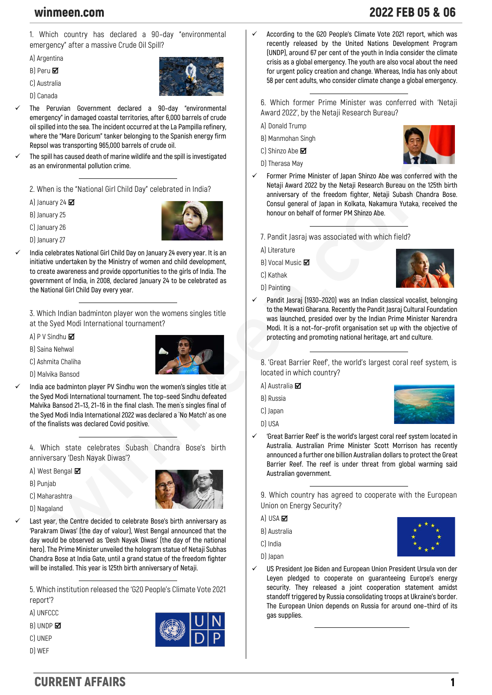### **1. Which country has declared a 90–day "environmental emergency" after a massive Crude Oil Spill?**

**A) Argentina**

- **B) Peru**
- **C) Australia**
- **D) Canada**



- ✓ **The Peruvian Government declared a 90–day "environmental emergency" in damaged coastal territories, after 6,000 barrels of crude oil spilled into the sea. The incident occurred at the La Pampilla refinery, where the "Mare Doricum" tanker belonging to the Spanish energy firm Repsol was transporting 965,000 barrels of crude oil.**
- The spill has caused death of marine wildlife and the spill is investigated **as an environmental pollution crime.**

**2. When is the "National Girl Child Day" celebrated in India?**

**A) January 24** 

**B) January 25**

**C) January 26**

**D) January 27**

India celebrates National Girl Child Day on January 24 every year. It is an **initiative undertaken by the Ministry of women and child development, to create awareness and provide opportunities to the girls of India. The government of India, in 2008, declared January 24 to be celebrated as the National Girl Child Day every year.**

**3. Which Indian badminton player won the womens singles title at the Syed Modi International tournament?**

- **A) P V Sindhu**
- **B) Saina Nehwal**
- **C) Ashmita Chaliha**



✓ **India ace badminton player PV Sindhu won the women's singles title at the Syed Modi International tournament. The top–seed Sindhu defeated Malvika Bansod 21–13, 21–16 in the final clash. The men`s singles final of the Syed Modi India International 2022 was declared a `No Match' as one of the finalists was declared Covid positive.**

**4. Which state celebrates Subash Chandra Bose's birth anniversary 'Desh Nayak Diwas'?**

- **A) West Bengal**
- **B) Punjab**
- **C) Maharashtra**
- **D) Nagaland**



Last year, the Centre decided to celebrate Bose's birth anniversary as **'Parakram Diwas' (the day of valour), West Bengal announced that the day would be observed as 'Desh Nayak Diwas' (the day of the national hero). The Prime Minister unveiled the hologram statue of Netaji Subhas Chandra Bose at India Gate, until a grand statue of the freedom fighter will be installed. This year is 125th birth anniversary of Netaji.**

**5. Which institution released the 'G20 People's Climate Vote 2021 report'?**

**A) UNFCCC**

**B) UNDP**

**C) UNEP**





✓ **According to the G20 People's Climate Vote 2021 report, which was recently released by the United Nations Development Program (UNDP), around 67 per cent of the youth in India consider the climate crisis as a global emergency. The youth are also vocal about the need for urgent policy creation and change. Whereas, India has only about 58 per cent adults, who consider climate change a global emergency.**

**6. Which former Prime Minister was conferred with 'Netaji Award 2022', by the Netaji Research Bureau?**

- **A) Donald Trump**
- **B) Manmohan Singh**
- **C) Shinzo Abe**
- **D) Therasa May**



- Former Prime Minister of Japan Shinzo Abe was conferred with the **Netaji Award 2022 by the Netaji Research Bureau on the 125th birth anniversary of the freedom fighter, Netaji Subash Chandra Bose. Consul general of Japan in Kolkata, Nakamura Yutaka, received the honour on behalf of former PM Shinzo Abe.**
	- **7. Pandit Jasraj was associated with which field?**
	- **A) Literature**
	- **B) Vocal Music**
	- **C) Kathak**
	- **D) Painting**



✓ **Pandit Jasraj (1930–2020) was an Indian classical vocalist, belonging to the Mewati Gharana. Recently the Pandit Jasraj Cultural Foundation was launched, presided over by the Indian Prime Minister Narendra Modi. It is a not–for–profit organisation set up with the objective of protecting and promoting national heritage, art and culture.**

**8. 'Great Barrier Reef', the world's largest coral reef system, is located in which country?**

**A) Australia**

**B) Russia**

**C) Japan**

**D) USA**



✓ **'Great Barrier Reef' is the world's largest coral reef system located in Australia. Australian Prime Minister Scott Morrison has recently announced a further one billion Australian dollars to protect the Great Barrier Reef. The reef is under threat from global warming said Australian government.**

**9. Which country has agreed to cooperate with the European Union on Energy Security?**

**A) USA** 

**B) Australia**

**C) India**

**D) Japan**

✓ **US President Joe Biden and European Union President Ursula von der Leyen pledged to cooperate on guaranteeing Europe's energy security. They released a joint cooperation statement amidst standoff triggered by Russia consolidating troops at Ukraine's border. The European Union depends on Russia for around one–third of its gas supplies.**

# winmeen.com 2022 FEB 05 & 06

## CURRENT AFFAIRS 1